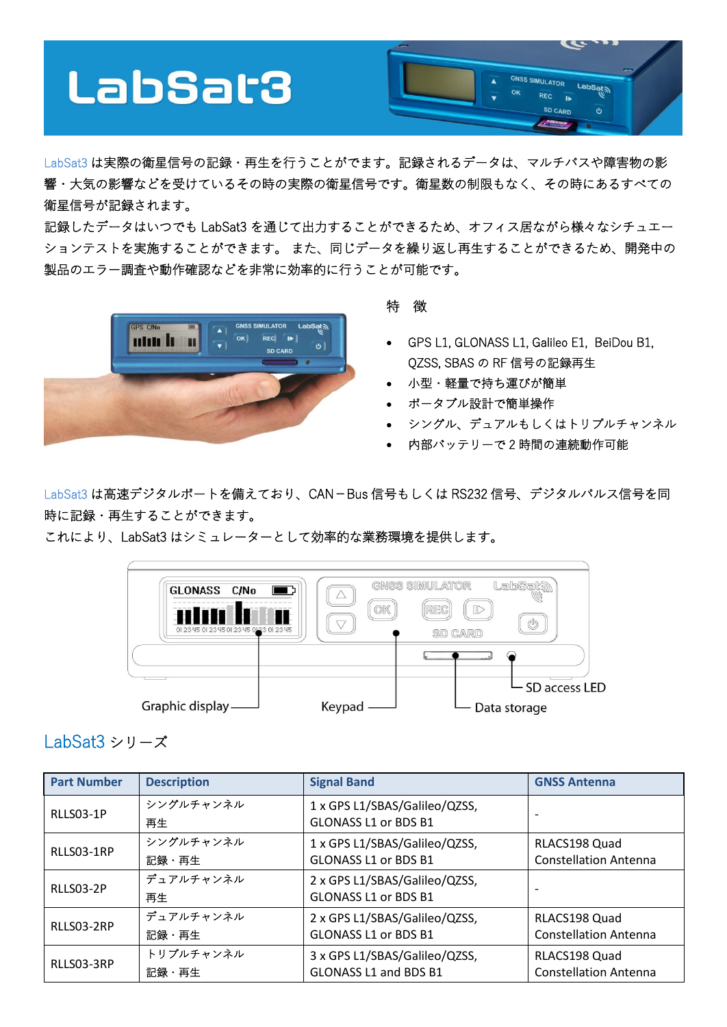

LabSat3 は実際の衛星信号の記録・再生を行うことがでます。記録されるデータは、マルチパスや障害物の影 響・大気の影響などを受けているその時の実際の衛星信号です。衛星数の制限もなく、その時にあるすべての 衛星信号が記録されます。

記録したデータはいつでも LabSat3 を通じて出力することができるため、オフィス居ながら様々なシチュエー ションテストを実施することができます。 また、同じデータを繰り返し再生することができるため、開発中の 製品のエラー調査や動作確認などを非常に効率的に行うことが可能です。



## 特 徴

- GPS L1, GLONASS L1, Galileo E1, BeiDou B1, QZSS, SBAS の RF 信号の記録再生
- 小型・軽量で持ち運びが簡単
- ポータブル設計で簡単操作
- シングル、デュアルもしくはトリプルチャンネル
- 内部バッテリーで 2 時間の連続動作可能

LabSat3 は高速デジタルポートを備えており、CAN-Bus 信号もしくは RS232 信号、デジタルパルス信号を同 時に記録・再生することができます。

これにより、LabSat3 はシミュレーターとして効率的な業務環境を提供します。



## LabSat3 シリーズ

| <b>Part Number</b> | <b>Description</b> | <b>Signal Band</b>            | <b>GNSS Antenna</b>          |
|--------------------|--------------------|-------------------------------|------------------------------|
| RLLS03-1P          | シングルチャンネル          | 1 x GPS L1/SBAS/Galileo/QZSS, |                              |
|                    | 再生                 | GLONASS L1 or BDS B1          |                              |
| RLLS03-1RP         | シングルチャンネル          | 1 x GPS L1/SBAS/Galileo/QZSS, | RLACS198 Quad                |
|                    | 記録・再生              | <b>GLONASS L1 or BDS B1</b>   | <b>Constellation Antenna</b> |
| RLLS03-2P          | デュアルチャンネル          | 2 x GPS L1/SBAS/Galileo/QZSS, |                              |
|                    | 再生                 | <b>GLONASS L1 or BDS B1</b>   |                              |
| RLLS03-2RP         | デュアルチャンネル          | 2 x GPS L1/SBAS/Galileo/QZSS, | RLACS198 Quad                |
|                    | 記録・再生              | <b>GLONASS L1 or BDS B1</b>   | <b>Constellation Antenna</b> |
| RLLS03-3RP         | トリプルチャンネル          | 3 x GPS L1/SBAS/Galileo/QZSS, | RLACS198 Quad                |
|                    | 記録・再生              | GLONASS L1 and BDS B1         | <b>Constellation Antenna</b> |